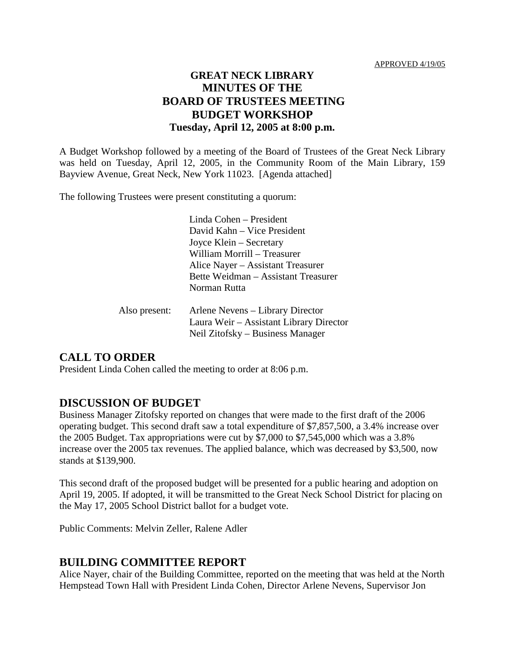### **GREAT NECK LIBRARY MINUTES OF THE BOARD OF TRUSTEES MEETING BUDGET WORKSHOP Tuesday, April 12, 2005 at 8:00 p.m.**

A Budget Workshop followed by a meeting of the Board of Trustees of the Great Neck Library was held on Tuesday, April 12, 2005, in the Community Room of the Main Library, 159 Bayview Avenue, Great Neck, New York 11023. [Agenda attached]

The following Trustees were present constituting a quorum:

Linda Cohen – President David Kahn – Vice President Joyce Klein – Secretary William Morrill – Treasurer Alice Nayer – Assistant Treasurer Bette Weidman – Assistant Treasurer Norman Rutta

| Also present: | Arlene Nevens – Library Director        |
|---------------|-----------------------------------------|
|               | Laura Weir – Assistant Library Director |
|               | Neil Zitofsky – Business Manager        |

## **CALL TO ORDER**

President Linda Cohen called the meeting to order at 8:06 p.m.

#### **DISCUSSION OF BUDGET**

Business Manager Zitofsky reported on changes that were made to the first draft of the 2006 operating budget. This second draft saw a total expenditure of \$7,857,500, a 3.4% increase over the 2005 Budget. Tax appropriations were cut by \$7,000 to \$7,545,000 which was a 3.8% increase over the 2005 tax revenues. The applied balance, which was decreased by \$3,500, now stands at \$139,900.

This second draft of the proposed budget will be presented for a public hearing and adoption on April 19, 2005. If adopted, it will be transmitted to the Great Neck School District for placing on the May 17, 2005 School District ballot for a budget vote.

Public Comments: Melvin Zeller, Ralene Adler

#### **BUILDING COMMITTEE REPORT**

Alice Nayer, chair of the Building Committee, reported on the meeting that was held at the North Hempstead Town Hall with President Linda Cohen, Director Arlene Nevens, Supervisor Jon